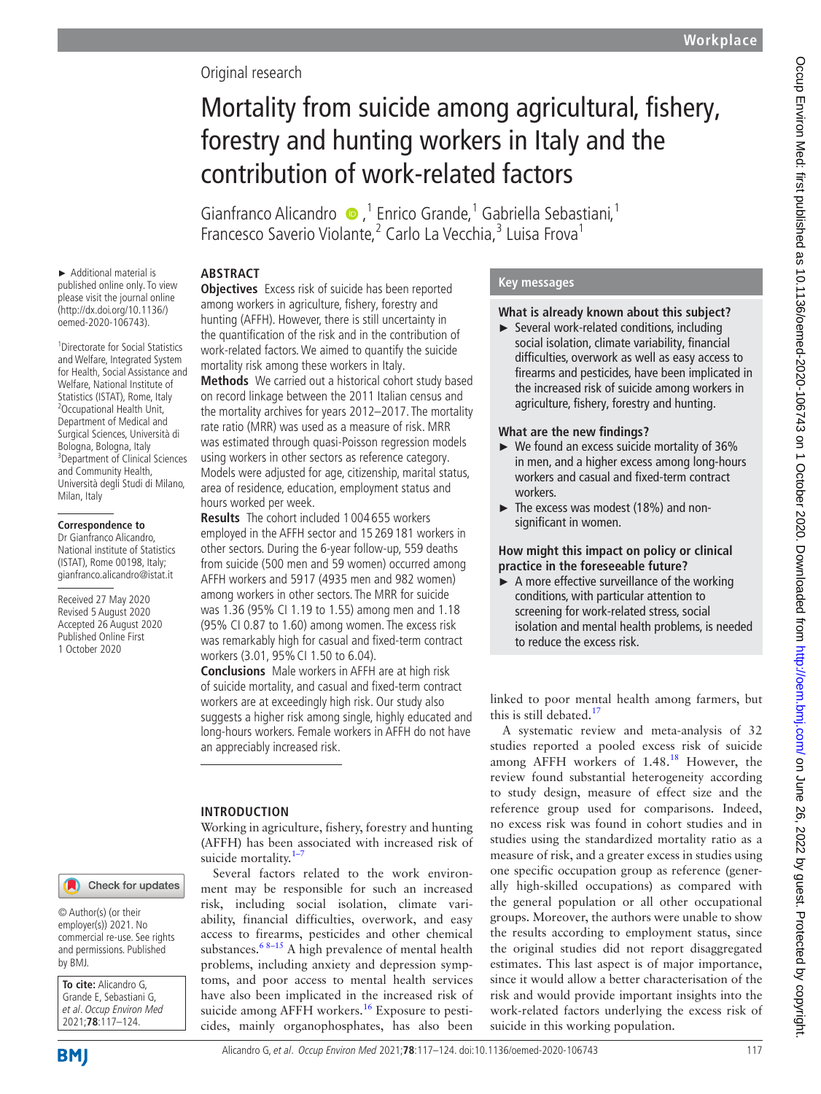# Original research

# Mortality from suicide among agricultural, fishery, forestry and hunting workers in Italy and the contribution of work-related factors

GianfrancoAlicandro (D, <sup>1</sup> Enrico Grande, <sup>1</sup> Gabriella Sebastiani, <sup>1</sup> Francesco Saverio Violante,<sup>2</sup> Carlo La Vecchia,<sup>3</sup> Luisa Frova<sup>1</sup>

# **ABSTRACT**

► Additional material is published online only. To view please visit the journal online (http://dx.doi.org/10.1136/) oemed-2020-106743).

1 Directorate for Social Statistics and Welfare, Integrated System for Health, Social Assistance and Welfare, National Institute of Statistics (ISTAT), Rome, Italy 2 Occupational Health Unit, Department of Medical and Surgical Sciences, Università di Bologna, Bologna, Italy 3 Department of Clinical Sciences and Community Health, Università degli Studi di Milano, Milan, Italy

# **Correspondence to**

Dr Gianfranco Alicandro, National institute of Statistics (ISTAT), Rome 00198, Italy; gianfranco.alicandro@istat.it

Received 27 May 2020 Revised 5 August 2020 Accepted 26 August 2020 Published Online First 1 October 2020

# **Objectives** Excess risk of suicide has been reported among workers in agriculture, fishery, forestry and hunting (AFFH). However, there is still uncertainty in the quantification of the risk and in the contribution of work-related factors. We aimed to quantify the suicide mortality risk among these workers in Italy.

**Methods** We carried out a historical cohort study based on record linkage between the 2011 Italian census and the mortality archives for years 2012–2017. The mortality rate ratio (MRR) was used as a measure of risk. MRR was estimated through quasi-Poisson regression models using workers in other sectors as reference category. Models were adjusted for age, citizenship, marital status, area of residence, education, employment status and hours worked per week.

**Results** The cohort included 1 004 655 workers employed in the AFFH sector and 15 269 181 workers in other sectors. During the 6-year follow-up, 559 deaths from suicide (500 men and 59 women) occurred among AFFH workers and 5917 (4935 men and 982 women) among workers in other sectors. The MRR for suicide was 1.36 (95% CI 1.19 to 1.55) among men and 1.18 (95% CI 0.87 to 1.60) among women. The excess risk was remarkably high for casual and fixed-term contract workers (3.01, 95% CI 1.50 to 6.04).

**Conclusions** Male workers in AFFH are at high risk of suicide mortality, and casual and fixed-term contract workers are at exceedingly high risk. Our study also suggests a higher risk among single, highly educated and long-hours workers. Female workers in AFFH do not have an appreciably increased risk.

# **INTRODUCTION**

Working in agriculture, fishery, forestry and hunting (AFFH) has been associated with increased risk of suicide mortality.<sup>1-</sup>

Several factors related to the work environment may be responsible for such an increased risk, including social isolation, climate variability, financial difficulties, overwork, and easy access to firearms, pesticides and other chemical substances. $68-15$  A high prevalence of mental health problems, including anxiety and depression symptoms, and poor access to mental health services have also been implicated in the increased risk of suicide among AFFH workers.<sup>[16](#page-6-2)</sup> Exposure to pesticides, mainly organophosphates, has also been

# **Key messages**

# **What is already known about this subject?**

► Several work-related conditions, including social isolation, climate variability, financial difficulties, overwork as well as easy access to firearms and pesticides, have been implicated in the increased risk of suicide among workers in agriculture, fishery, forestry and hunting.

# **What are the new findings?**

- ► We found an excess suicide mortality of 36% in men, and a higher excess among long-hours workers and casual and fixed-term contract workers.
- ► The excess was modest (18%) and nonsignificant in women.

#### **How might this impact on policy or clinical practice in the foreseeable future?**

 $\blacktriangleright$  A more effective surveillance of the working conditions, with particular attention to screening for work-related stress, social isolation and mental health problems, is needed to reduce the excess risk.

linked to poor mental health among farmers, but this is still debated.<sup>17</sup>

A systematic review and meta-analysis of 32 studies reported a pooled excess risk of suicide among AFFH workers of 1.48.<sup>18</sup> However, the review found substantial heterogeneity according to study design, measure of effect size and the reference group used for comparisons. Indeed, no excess risk was found in cohort studies and in studies using the standardized mortality ratio as a measure of risk, and a greater excess in studies using one specific occupation group as reference (generally high-skilled occupations) as compared with the general population or all other occupational groups. Moreover, the authors were unable to show the results according to employment status, since the original studies did not report disaggregated estimates. This last aspect is of major importance, since it would allow a better characterisation of the risk and would provide important insights into the work-related factors underlying the excess risk of suicide in this working population.

#### Check for updates

© Author(s) (or their employer(s)) 2021. No commercial re-use. See rights and permissions. Published by BMJ.

| To cite: Alicandro G,    |
|--------------------------|
| Grande E, Sebastiani G,  |
| et al. Occup Environ Med |
| 2021;78:117-124.         |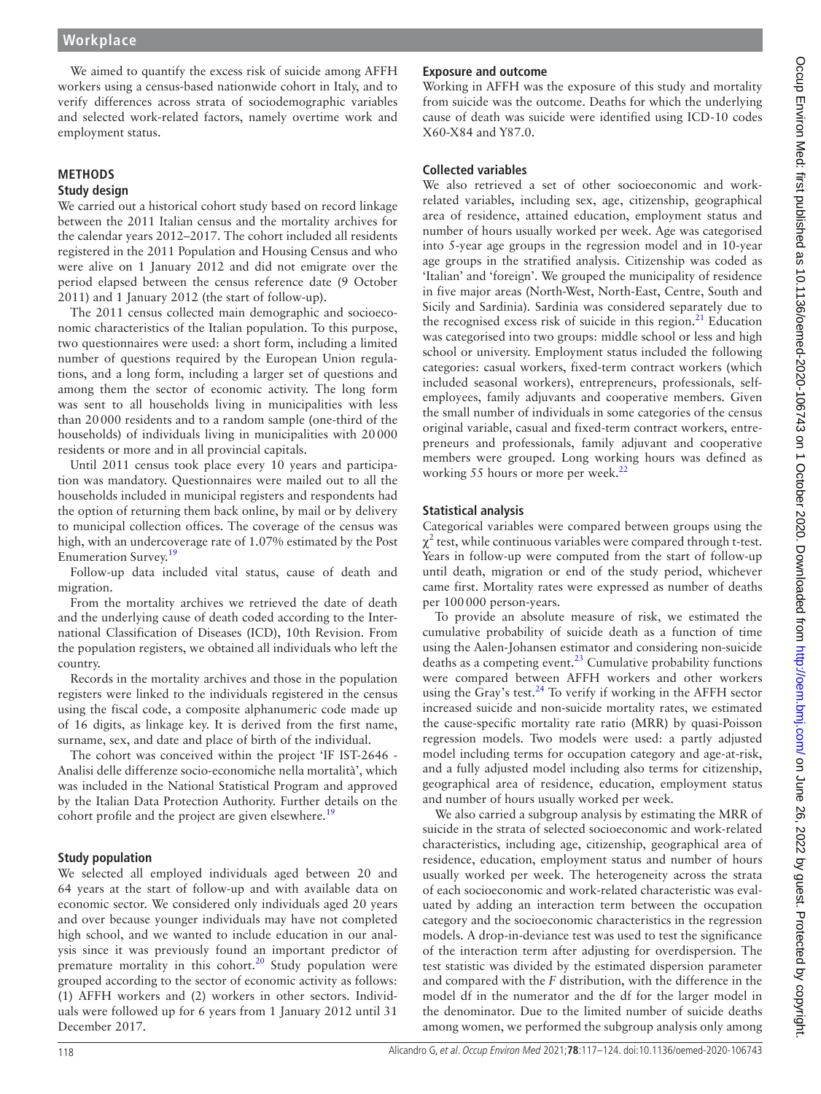We aimed to quantify the excess risk of suicide among AFFH workers using a census-based nationwide cohort in Italy, and to verify differences across strata of sociodemographic variables and selected work-related factors, namely overtime work and employment status.

# **METHODS**

#### **Study design**

We carried out a historical cohort study based on record linkage between the 2011 Italian census and the mortality archives for the calendar years 2012–2017. The cohort included all residents registered in the 2011 Population and Housing Census and who were alive on 1 January 2012 and did not emigrate over the period elapsed between the census reference date (9 October 2011) and 1 January 2012 (the start of follow-up).

The 2011 census collected main demographic and socioeconomic characteristics of the Italian population. To this purpose, two questionnaires were used: a short form, including a limited number of questions required by the European Union regulations, and a long form, including a larger set of questions and among them the sector of economic activity. The long form was sent to all households living in municipalities with less than 20000 residents and to a random sample (one-third of the households) of individuals living in municipalities with 20000 residents or more and in all provincial capitals.

Until 2011 census took place every 10 years and participation was mandatory. Questionnaires were mailed out to all the households included in municipal registers and respondents had the option of returning them back online, by mail or by delivery to municipal collection offices. The coverage of the census was high, with an undercoverage rate of 1.07% estimated by the Post Enumeration Survey.<sup>19</sup>

Follow-up data included vital status, cause of death and migration.

From the mortality archives we retrieved the date of death and the underlying cause of death coded according to the International Classification of Diseases (ICD), 10th Revision. From the population registers, we obtained all individuals who left the country.

Records in the mortality archives and those in the population registers were linked to the individuals registered in the census using the fiscal code, a composite alphanumeric code made up of 16 digits, as linkage key. It is derived from the first name, surname, sex, and date and place of birth of the individual.

The cohort was conceived within the project 'IF IST-2646 - Analisi delle differenze socio-economiche nella mortalità', which was included in the National Statistical Program and approved by the Italian Data Protection Authority. Further details on the cohort profile and the project are given elsewhere.<sup>[19](#page-6-5)</sup>

# **Study population**

We selected all employed individuals aged between 20 and 64 years at the start of follow-up and with available data on economic sector. We considered only individuals aged 20 years and over because younger individuals may have not completed high school, and we wanted to include education in our analysis since it was previously found an important predictor of premature mortality in this cohort.<sup>[20](#page-6-6)</sup> Study population were grouped according to the sector of economic activity as follows: (1) AFFH workers and (2) workers in other sectors. Individuals were followed up for 6 years from 1 January 2012 until 31 December 2017.

# **Exposure and outcome**

Working in AFFH was the exposure of this study and mortality from suicide was the outcome. Deaths for which the underlying cause of death was suicide were identified using ICD-10 codes X60-X84 and Y87.0.

### **Collected variables**

We also retrieved a set of other socioeconomic and workrelated variables, including sex, age, citizenship, geographical area of residence, attained education, employment status and number of hours usually worked per week. Age was categorised into 5-year age groups in the regression model and in 10-year age groups in the stratified analysis. Citizenship was coded as 'Italian' and 'foreign'. We grouped the municipality of residence in five major areas (North-West, North-East, Centre, South and Sicily and Sardinia). Sardinia was considered separately due to the recognised excess risk of suicide in this region. $21$  Education was categorised into two groups: middle school or less and high school or university. Employment status included the following categories: casual workers, fixed-term contract workers (which included seasonal workers), entrepreneurs, professionals, selfemployees, family adjuvants and cooperative members. Given the small number of individuals in some categories of the census original variable, casual and fixed-term contract workers, entrepreneurs and professionals, family adjuvant and cooperative members were grouped. Long working hours was defined as working 55 hours or more per week.<sup>22</sup>

# **Statistical analysis**

Categorical variables were compared between groups using the  $\chi^2$  test, while continuous variables were compared through t-test. Years in follow-up were computed from the start of follow-up until death, migration or end of the study period, whichever came first. Mortality rates were expressed as number of deaths per 100000 person-years.

To provide an absolute measure of risk, we estimated the cumulative probability of suicide death as a function of time using the Aalen-Johansen estimator and considering non-suicide deaths as a competing event.<sup>[23](#page-6-9)</sup> Cumulative probability functions were compared between AFFH workers and other workers using the Gray's test.<sup>[24](#page-6-10)</sup> To verify if working in the AFFH sector increased suicide and non-suicide mortality rates, we estimated the cause-specific mortality rate ratio (MRR) by quasi-Poisson regression models. Two models were used: a partly adjusted model including terms for occupation category and age-at-risk, and a fully adjusted model including also terms for citizenship, geographical area of residence, education, employment status and number of hours usually worked per week.

We also carried a subgroup analysis by estimating the MRR of suicide in the strata of selected socioeconomic and work-related characteristics, including age, citizenship, geographical area of residence, education, employment status and number of hours usually worked per week. The heterogeneity across the strata of each socioeconomic and work-related characteristic was evaluated by adding an interaction term between the occupation category and the socioeconomic characteristics in the regression models. A drop-in-deviance test was used to test the significance of the interaction term after adjusting for overdispersion. The test statistic was divided by the estimated dispersion parameter and compared with the *F* distribution, with the difference in the model df in the numerator and the df for the larger model in the denominator. Due to the limited number of suicide deaths among women, we performed the subgroup analysis only among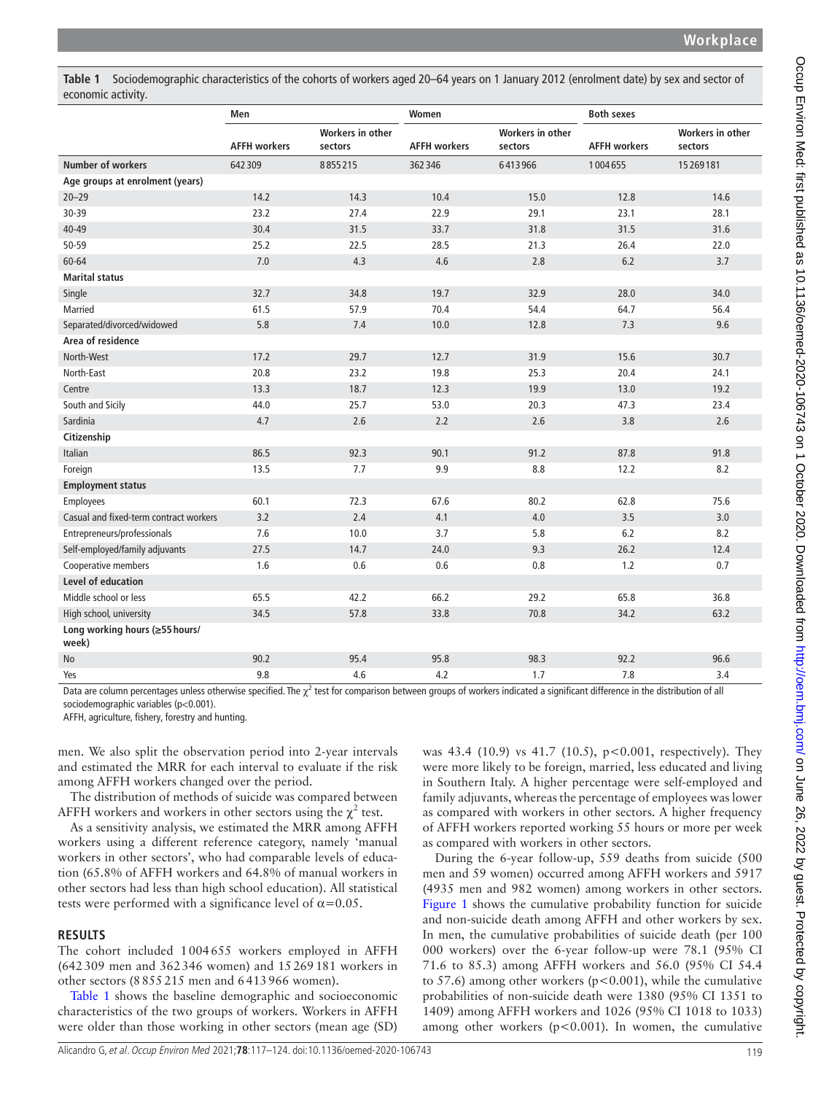<span id="page-2-0"></span>**Table 1** Sociodemographic characteristics of the cohorts of workers aged 20–64 years on 1 January 2012 (enrolment date) by sex and sector of economic activity.

|                                         | Men                 |                             | Women               |                             | <b>Both sexes</b>   |                             |
|-----------------------------------------|---------------------|-----------------------------|---------------------|-----------------------------|---------------------|-----------------------------|
|                                         | <b>AFFH workers</b> | Workers in other<br>sectors | <b>AFFH workers</b> | Workers in other<br>sectors | <b>AFFH workers</b> | Workers in other<br>sectors |
| <b>Number of workers</b>                | 642309              | 8855215                     | 362 346             | 6413966                     | 1004655             | 15269181                    |
| Age groups at enrolment (years)         |                     |                             |                     |                             |                     |                             |
| $20 - 29$                               | 14.2                | 14.3                        | 10.4                | 15.0                        | 12.8                | 14.6                        |
| 30-39                                   | 23.2                | 27.4                        | 22.9                | 29.1                        | 23.1                | 28.1                        |
| 40-49                                   | 30.4                | 31.5                        | 33.7                | 31.8                        | 31.5                | 31.6                        |
| 50-59                                   | 25.2                | 22.5                        | 28.5                | 21.3                        | 26.4                | 22.0                        |
| 60-64                                   | 7.0                 | 4.3                         | 4.6                 | 2.8                         | 6.2                 | 3.7                         |
| <b>Marital status</b>                   |                     |                             |                     |                             |                     |                             |
| Single                                  | 32.7                | 34.8                        | 19.7                | 32.9                        | 28.0                | 34.0                        |
| Married                                 | 61.5                | 57.9                        | 70.4                | 54.4                        | 64.7                | 56.4                        |
| Separated/divorced/widowed              | 5.8                 | 7.4                         | 10.0                | 12.8                        | 7.3                 | 9.6                         |
| Area of residence                       |                     |                             |                     |                             |                     |                             |
| North-West                              | 17.2                | 29.7                        | 12.7                | 31.9                        | 15.6                | 30.7                        |
| North-East                              | 20.8                | 23.2                        | 19.8                | 25.3                        | 20.4                | 24.1                        |
| Centre                                  | 13.3                | 18.7                        | 12.3                | 19.9                        | 13.0                | 19.2                        |
| South and Sicily                        | 44.0                | 25.7                        | 53.0                | 20.3                        | 47.3                | 23.4                        |
| Sardinia                                | 4.7                 | 2.6                         | 2.2                 | 2.6                         | 3.8                 | 2.6                         |
| Citizenship                             |                     |                             |                     |                             |                     |                             |
| Italian                                 | 86.5                | 92.3                        | 90.1                | 91.2                        | 87.8                | 91.8                        |
| Foreign                                 | 13.5                | 7.7                         | 9.9                 | 8.8                         | 12.2                | 8.2                         |
| <b>Employment status</b>                |                     |                             |                     |                             |                     |                             |
| Employees                               | 60.1                | 72.3                        | 67.6                | 80.2                        | 62.8                | 75.6                        |
| Casual and fixed-term contract workers  | 3.2                 | 2.4                         | 4.1                 | 4.0                         | 3.5                 | 3.0                         |
| Entrepreneurs/professionals             | 7.6                 | 10.0                        | 3.7                 | 5.8                         | 6.2                 | 8.2                         |
| Self-employed/family adjuvants          | 27.5                | 14.7                        | 24.0                | 9.3                         | 26.2                | 12.4                        |
| Cooperative members                     | 1.6                 | 0.6                         | 0.6                 | 0.8                         | 1.2                 | 0.7                         |
| Level of education                      |                     |                             |                     |                             |                     |                             |
| Middle school or less                   | 65.5                | 42.2                        | 66.2                | 29.2                        | 65.8                | 36.8                        |
| High school, university                 | 34.5                | 57.8                        | 33.8                | 70.8                        | 34.2                | 63.2                        |
| Long working hours (≥55 hours/<br>week) |                     |                             |                     |                             |                     |                             |
| <b>No</b>                               | 90.2                | 95.4                        | 95.8                | 98.3                        | 92.2                | 96.6                        |
| Yes                                     | 9.8                 | 4.6                         | 4.2                 | 1.7                         | 7.8                 | 3.4                         |

Data are column percentages unless otherwise specified. The  $\chi^2$  test for comparison between groups of workers indicated a significant difference in the distribution of all sociodemographic variables (p<0.001).

AFFH, agriculture, fishery, forestry and hunting.

men. We also split the observation period into 2-year intervals and estimated the MRR for each interval to evaluate if the risk among AFFH workers changed over the period.

The distribution of methods of suicide was compared between AFFH workers and workers in other sectors using the  $\chi^2$  test.

As a sensitivity analysis, we estimated the MRR among AFFH workers using a different reference category, namely 'manual workers in other sectors', who had comparable levels of education (65.8% of AFFH workers and 64.8% of manual workers in other sectors had less than high school education). All statistical tests were performed with a significance level of  $\alpha$ =0.05.

# **RESULTS**

The cohort included 1004655 workers employed in AFFH (642309 men and 362346 women) and 15269181 workers in other sectors (8855215 men and 6413966 women).

[Table](#page-2-0) 1 shows the baseline demographic and socioeconomic characteristics of the two groups of workers. Workers in AFFH were older than those working in other sectors (mean age (SD)

was 43.4 (10.9) vs 41.7 (10.5), p<0.001, respectively). They were more likely to be foreign, married, less educated and living in Southern Italy. A higher percentage were self-employed and family adjuvants, whereas the percentage of employees was lower as compared with workers in other sectors. A higher frequency of AFFH workers reported working 55 hours or more per week as compared with workers in other sectors.

During the 6-year follow-up, 559 deaths from suicide (500 men and 59 women) occurred among AFFH workers and 5917 (4935 men and 982 women) among workers in other sectors. [Figure](#page-3-0) 1 shows the cumulative probability function for suicide and non-suicide death among AFFH and other workers by sex. In men, the cumulative probabilities of suicide death (per 100 000 workers) over the 6-year follow-up were 78.1 (95% CI 71.6 to 85.3) among AFFH workers and 56.0 (95% CI 54.4 to 57.6) among other workers ( $p < 0.001$ ), while the cumulative probabilities of non-suicide death were 1380 (95% CI 1351 to 1409) among AFFH workers and 1026 (95% CI 1018 to 1033) among other workers  $(p<0.001)$ . In women, the cumulative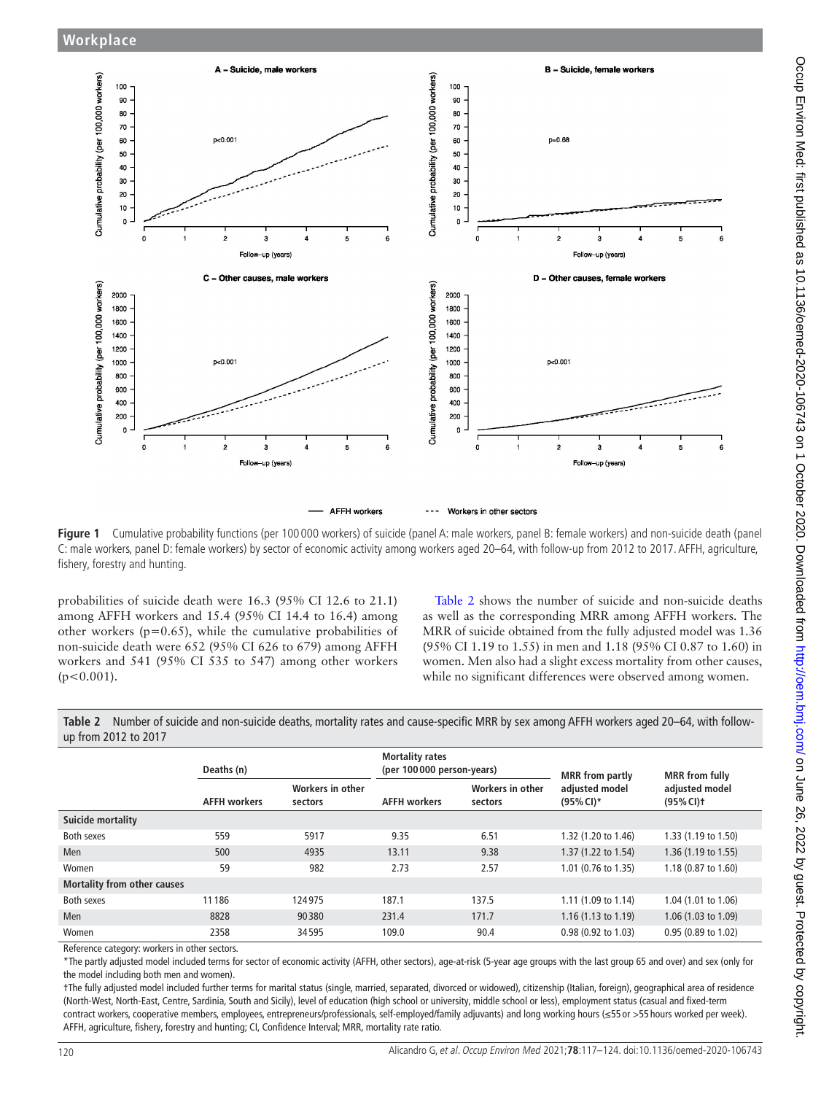

<span id="page-3-0"></span>Figure 1 Cumulative probability functions (per 100 000 workers) of suicide (panel A: male workers, panel B: female workers) and non-suicide death (panel C: male workers, panel D: female workers) by sector of economic activity among workers aged 20–64, with follow-up from 2012 to 2017. AFFH, agriculture, fishery, forestry and hunting.

probabilities of suicide death were 16.3 (95% CI 12.6 to 21.1) among AFFH workers and 15.4 (95% CI 14.4 to 16.4) among other workers  $(p=0.65)$ , while the cumulative probabilities of non-suicide death were 652 (95% CI 626 to 679) among AFFH workers and 541 (95% CI 535 to 547) among other workers  $(p<0.001)$ .

[Table](#page-3-1) 2 shows the number of suicide and non-suicide deaths as well as the corresponding MRR among AFFH workers. The MRR of suicide obtained from the fully adjusted model was 1.36 (95% CI 1.19 to 1.55) in men and 1.18 (95% CI 0.87 to 1.60) in women. Men also had a slight excess mortality from other causes, while no significant differences were observed among women.

|                                    | Deaths (n)          |                             | <b>Mortality rates</b><br>(per 100000 person-years) |                             | <b>MRR</b> from partly         | <b>MRR</b> from fully        |
|------------------------------------|---------------------|-----------------------------|-----------------------------------------------------|-----------------------------|--------------------------------|------------------------------|
|                                    | <b>AFFH workers</b> | Workers in other<br>sectors | <b>AFFH workers</b>                                 | Workers in other<br>sectors | adjusted model<br>(95% CI)*    | adjusted model<br>(95% CI) t |
| Suicide mortality                  |                     |                             |                                                     |                             |                                |                              |
| Both sexes                         | 559                 | 5917                        | 9.35                                                | 6.51                        | 1.32 (1.20 to 1.46)            | 1.33 (1.19 to 1.50)          |
| <b>Men</b>                         | 500                 | 4935                        | 13.11                                               | 9.38                        | 1.37 (1.22 to 1.54)            | 1.36 (1.19 to 1.55)          |
| Women                              | 59                  | 982                         | 2.73                                                | 2.57                        | 1.01 (0.76 to 1.35)            | 1.18 (0.87 to 1.60)          |
| <b>Mortality from other causes</b> |                     |                             |                                                     |                             |                                |                              |
| Both sexes                         | 11186               | 124975                      | 187.1                                               | 137.5                       | 1.11 (1.09 to 1.14)            | 1.04 (1.01 to 1.06)          |
| <b>Men</b>                         | 8828                | 90380                       | 231.4                                               | 171.7                       | 1.16 $(1.13 \text{ to } 1.19)$ | 1.06 (1.03 to 1.09)          |
| Women                              | 2358                | 34595                       | 109.0                                               | 90.4                        | 0.98 (0.92 to 1.03)            | 0.95 (0.89 to 1.02)          |

<span id="page-3-1"></span>**Table 2** Number of suicide and non-suicide deaths, mortality rates and cause-specific MRR by sex among AFFH workers aged 20–64, with followup from 2012 to 2017

Reference category: workers in other sectors.

\*The partly adjusted model included terms for sector of economic activity (AFFH, other sectors), age-at-risk (5-year age groups with the last group 65 and over) and sex (only for the model including both men and women).

†The fully adjusted model included further terms for marital status (single, married, separated, divorced or widowed), citizenship (Italian, foreign), geographical area of residence (North-West, North-East, Centre, Sardinia, South and Sicily), level of education (high school or university, middle school or less), employment status (casual and fixed-term contract workers, cooperative members, employees, entrepreneurs/professionals, self-employed/family adjuvants) and long working hours (≤55 or >55 hours worked per week). AFFH, agriculture, fishery, forestry and hunting; CI, Confidence Interval; MRR, mortality rate ratio.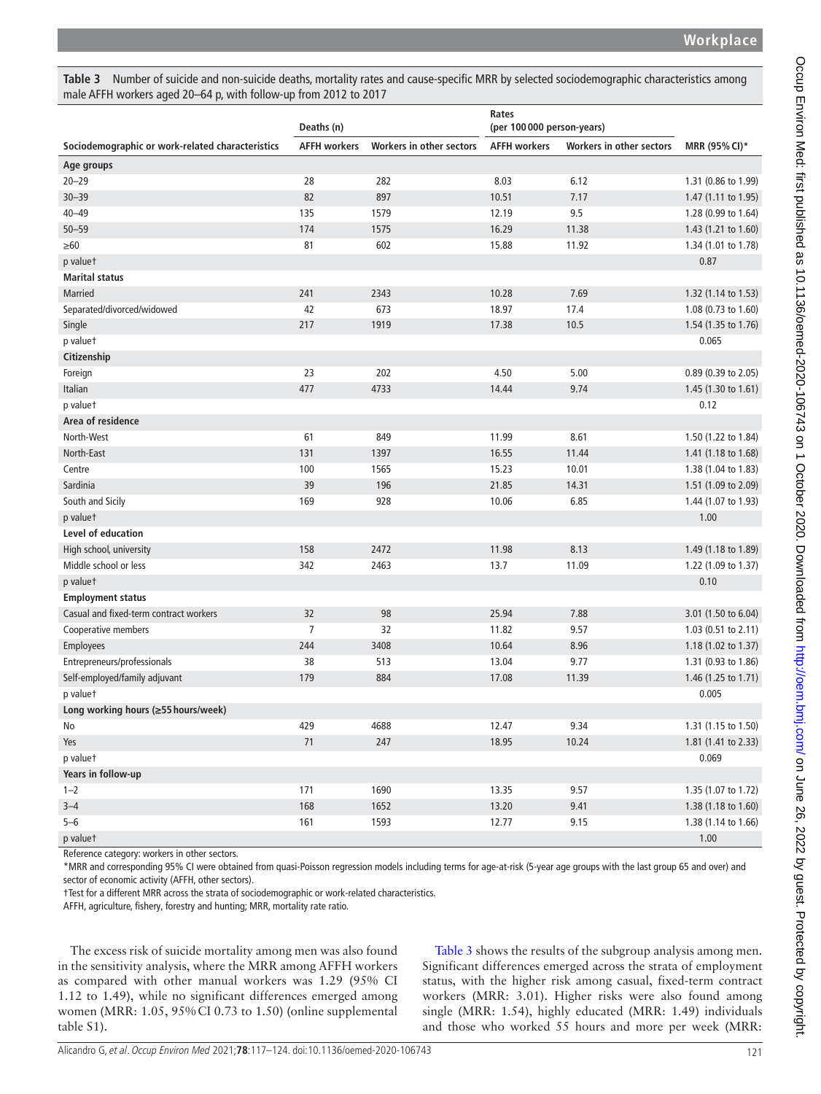<span id="page-4-0"></span>**Table 3** Number of suicide and non-suicide deaths, mortality rates and cause-specific MRR by selected sociodemographic characteristics among male AFFH workers aged 20–64 p, with follow-up from 2012 to 2017

|                                                  |                     |                          | Rates                      |                          |                     |
|--------------------------------------------------|---------------------|--------------------------|----------------------------|--------------------------|---------------------|
|                                                  | Deaths (n)          |                          | (per 100 000 person-years) |                          |                     |
| Sociodemographic or work-related characteristics | <b>AFFH workers</b> | Workers in other sectors | <b>AFFH workers</b>        | Workers in other sectors | MRR (95% CI)*       |
| Age groups                                       |                     |                          |                            |                          |                     |
| $20 - 29$                                        | 28                  | 282                      | 8.03                       | 6.12                     | 1.31 (0.86 to 1.99) |
| $30 - 39$                                        | 82                  | 897                      | 10.51                      | 7.17                     | 1.47 (1.11 to 1.95) |
| $40 - 49$                                        | 135                 | 1579                     | 12.19                      | 9.5                      | 1.28 (0.99 to 1.64) |
| $50 - 59$                                        | 174                 | 1575                     | 16.29                      | 11.38                    | 1.43 (1.21 to 1.60) |
| $\geq 60$                                        | 81                  | 602                      | 15.88                      | 11.92                    | 1.34 (1.01 to 1.78) |
| p valuet                                         |                     |                          |                            |                          | 0.87                |
| <b>Marital status</b>                            |                     |                          |                            |                          |                     |
| Married                                          | 241                 | 2343                     | 10.28                      | 7.69                     | 1.32 (1.14 to 1.53) |
| Separated/divorced/widowed                       | 42                  | 673                      | 18.97                      | 17.4                     | 1.08 (0.73 to 1.60) |
| Single                                           | 217                 | 1919                     | 17.38                      | 10.5                     | 1.54 (1.35 to 1.76) |
| p valuet                                         |                     |                          |                            |                          | 0.065               |
| Citizenship                                      |                     |                          |                            |                          |                     |
| Foreign                                          | 23                  | 202                      | 4.50                       | 5.00                     | 0.89 (0.39 to 2.05) |
| Italian                                          | 477                 | 4733                     | 14.44                      | 9.74                     | 1.45 (1.30 to 1.61) |
| p valuet                                         |                     |                          |                            |                          | 0.12                |
| Area of residence                                |                     |                          |                            |                          |                     |
| North-West                                       | 61                  | 849                      | 11.99                      | 8.61                     | 1.50 (1.22 to 1.84) |
| North-East                                       | 131                 | 1397                     | 16.55                      | 11.44                    | 1.41 (1.18 to 1.68) |
| Centre                                           | 100                 | 1565                     | 15.23                      | 10.01                    | 1.38 (1.04 to 1.83) |
| Sardinia                                         | 39                  | 196                      | 21.85                      | 14.31                    | 1.51 (1.09 to 2.09) |
| South and Sicily                                 | 169                 | 928                      | 10.06                      | 6.85                     | 1.44 (1.07 to 1.93) |
| p valuet                                         |                     |                          |                            |                          | 1.00                |
| Level of education                               |                     |                          |                            |                          |                     |
| High school, university                          | 158                 | 2472                     | 11.98                      | 8.13                     | 1.49 (1.18 to 1.89) |
| Middle school or less                            | 342                 | 2463                     | 13.7                       | 11.09                    | 1.22 (1.09 to 1.37) |
| p valuet                                         |                     |                          |                            |                          | 0.10                |
| <b>Employment status</b>                         |                     |                          |                            |                          |                     |
| Casual and fixed-term contract workers           | 32                  | 98                       | 25.94                      | 7.88                     | 3.01 (1.50 to 6.04) |
| Cooperative members                              | $\overline{7}$      | 32                       | 11.82                      | 9.57                     | 1.03 (0.51 to 2.11) |
| <b>Employees</b>                                 | 244                 | 3408                     | 10.64                      | 8.96                     | 1.18 (1.02 to 1.37) |
| Entrepreneurs/professionals                      | 38                  | 513                      | 13.04                      | 9.77                     | 1.31 (0.93 to 1.86) |
| Self-employed/family adjuvant                    | 179                 | 884                      | 17.08                      | 11.39                    | 1.46 (1.25 to 1.71) |
| p valuet                                         |                     |                          |                            |                          | 0.005               |
| Long working hours (≥55 hours/week)              |                     |                          |                            |                          |                     |
|                                                  | 429                 | 4688                     | 12.47                      | 9.34                     | 1.31 (1.15 to 1.50) |
| Yes                                              | 71                  | 247                      | 18.95                      | 10.24                    | 1.81 (1.41 to 2.33) |
| p valuet                                         |                     |                          |                            |                          | 0.069               |
| Years in follow-up                               |                     |                          |                            |                          |                     |
| $1 - 2$                                          | 171                 | 1690                     | 13.35                      | 9.57                     | 1.35 (1.07 to 1.72) |
| $3 - 4$                                          | 168                 | 1652                     | 13.20                      | 9.41                     | 1.38 (1.18 to 1.60) |
| $5 - 6$                                          | 161                 | 1593                     | 12.77                      | 9.15                     | 1.38 (1.14 to 1.66) |
| p valuet                                         |                     |                          |                            |                          | 1.00                |

Reference category: workers in other sectors.

\*MRR and corresponding 95% CI were obtained from quasi-Poisson regression models including terms for age-at-risk (5-year age groups with the last group 65 and over) and sector of economic activity (AFFH, other sectors).

†Test for a different MRR across the strata of sociodemographic or work-related characteristics.

AFFH, agriculture, fishery, forestry and hunting; MRR, mortality rate ratio.

The excess risk of suicide mortality among men was also found in the sensitivity analysis, where the MRR among AFFH workers as compared with other manual workers was 1.29 (95% CI 1.12 to 1.49), while no significant differences emerged among women (MRR: 1.05, 95%CI 0.73 to 1.50) ([online supplemental](https://dx.doi.org/10.1136/oemed-2020-106743)  [table S1\)](https://dx.doi.org/10.1136/oemed-2020-106743).

[Table](#page-4-0) 3 shows the results of the subgroup analysis among men. Significant differences emerged across the strata of employment status, with the higher risk among casual, fixed-term contract workers (MRR: 3.01). Higher risks were also found among single (MRR: 1.54), highly educated (MRR: 1.49) individuals and those who worked 55 hours and more per week (MRR: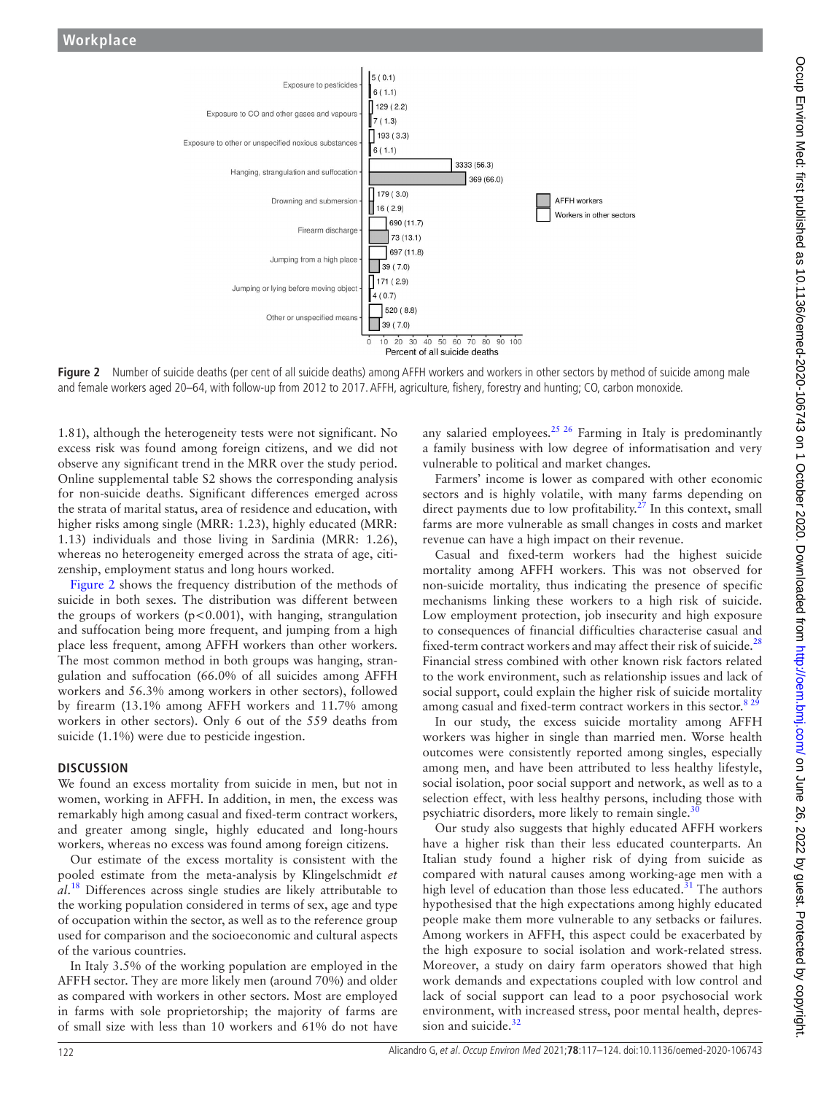

Figure 2 Number of suicide deaths (per cent of all suicide deaths) among AFFH workers and workers in other sectors by method of suicide among male and female workers aged 20–64, with follow-up from 2012 to 2017. AFFH, agriculture, fishery, forestry and hunting; CO, carbon monoxide.

1.81), although the heterogeneity tests were not significant. No excess risk was found among foreign citizens, and we did not observe any significant trend in the MRR over the study period. [Online supplemental table S2](https://dx.doi.org/10.1136/oemed-2020-106743) shows the corresponding analysis for non-suicide deaths. Significant differences emerged across the strata of marital status, area of residence and education, with higher risks among single (MRR: 1.23), highly educated (MRR: 1.13) individuals and those living in Sardinia (MRR: 1.26), whereas no heterogeneity emerged across the strata of age, citizenship, employment status and long hours worked.

[Figure](#page-5-0) 2 shows the frequency distribution of the methods of suicide in both sexes. The distribution was different between the groups of workers ( $p < 0.001$ ), with hanging, strangulation and suffocation being more frequent, and jumping from a high place less frequent, among AFFH workers than other workers. The most common method in both groups was hanging, strangulation and suffocation (66.0% of all suicides among AFFH workers and 56.3% among workers in other sectors), followed by firearm (13.1% among AFFH workers and 11.7% among workers in other sectors). Only 6 out of the 559 deaths from suicide (1.1%) were due to pesticide ingestion.

#### **DISCUSSION**

We found an excess mortality from suicide in men, but not in women, working in AFFH. In addition, in men, the excess was remarkably high among casual and fixed-term contract workers, and greater among single, highly educated and long-hours workers, whereas no excess was found among foreign citizens.

Our estimate of the excess mortality is consistent with the pooled estimate from the meta-analysis by Klingelschmidt *et al*. [18](#page-6-4) Differences across single studies are likely attributable to the working population considered in terms of sex, age and type of occupation within the sector, as well as to the reference group used for comparison and the socioeconomic and cultural aspects of the various countries.

In Italy 3.5% of the working population are employed in the AFFH sector. They are more likely men (around 70%) and older as compared with workers in other sectors. Most are employed in farms with sole proprietorship; the majority of farms are of small size with less than 10 workers and 61% do not have

<span id="page-5-0"></span>any salaried employees. $25 \frac{26}{15}$  Farming in Italy is predominantly a family business with low degree of informatisation and very vulnerable to political and market changes.

Farmers' income is lower as compared with other economic sectors and is highly volatile, with many farms depending on direct payments due to low profitability.<sup>[27](#page-7-0)</sup> In this context, small farms are more vulnerable as small changes in costs and market revenue can have a high impact on their revenue.

Casual and fixed-term workers had the highest suicide mortality among AFFH workers. This was not observed for non-suicide mortality, thus indicating the presence of specific mechanisms linking these workers to a high risk of suicide. Low employment protection, job insecurity and high exposure to consequences of financial difficulties characterise casual and fixed-term contract workers and may affect their risk of suicide. $^{28}$  $^{28}$  $^{28}$ Financial stress combined with other known risk factors related to the work environment, such as relationship issues and lack of social support, could explain the higher risk of suicide mortality among casual and fixed-term contract workers in this sector. $8^{29}$ 

In our study, the excess suicide mortality among AFFH workers was higher in single than married men. Worse health outcomes were consistently reported among singles, especially among men, and have been attributed to less healthy lifestyle, social isolation, poor social support and network, as well as to a selection effect, with less healthy persons, including those with psychiatric disorders, more likely to remain single. $\frac{3}{2}$ 

Our study also suggests that highly educated AFFH workers have a higher risk than their less educated counterparts. An Italian study found a higher risk of dying from suicide as compared with natural causes among working-age men with a high level of education than those less educated. $31$  The authors hypothesised that the high expectations among highly educated people make them more vulnerable to any setbacks or failures. Among workers in AFFH, this aspect could be exacerbated by the high exposure to social isolation and work-related stress. Moreover, a study on dairy farm operators showed that high work demands and expectations coupled with low control and lack of social support can lead to a poor psychosocial work environment, with increased stress, poor mental health, depres-sion and suicide.<sup>[32](#page-7-4)</sup>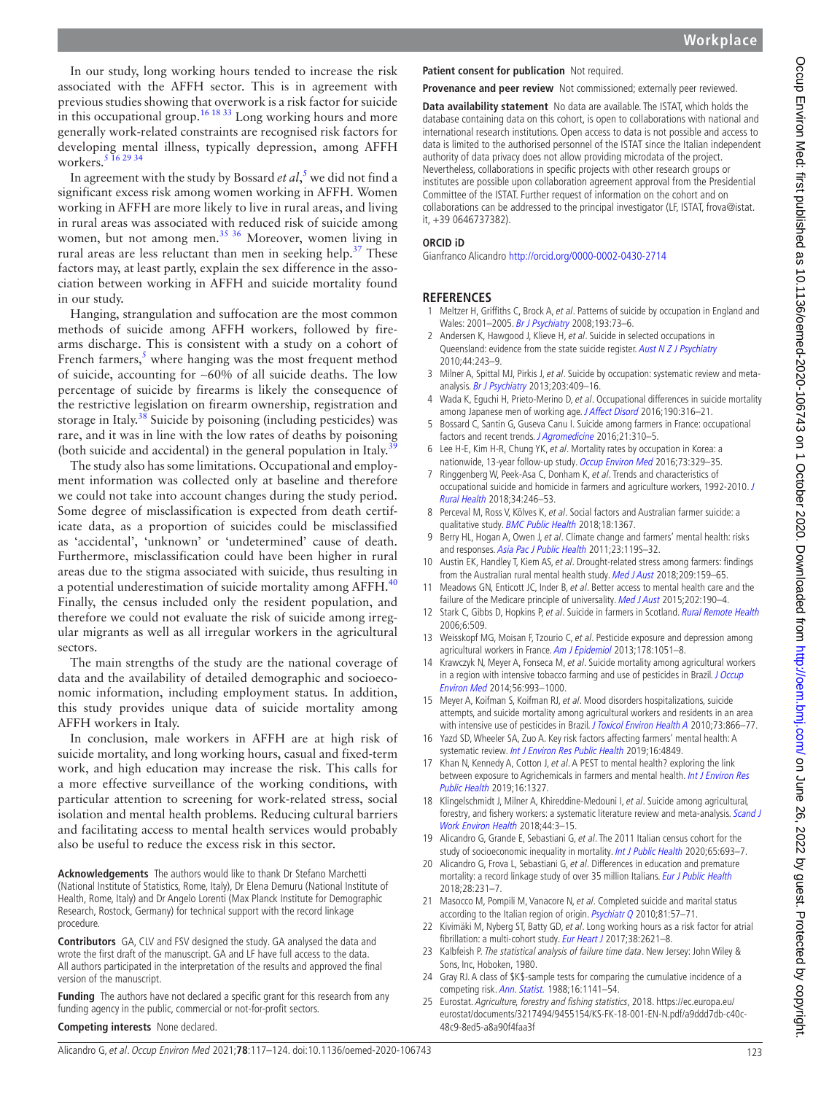In our study, long working hours tended to increase the risk associated with the AFFH sector. This is in agreement with previous studies showing that overwork is a risk factor for suicide in this occupational group.<sup>[16 18 33](#page-6-2)</sup> Long working hours and more generally work-related constraints are recognised risk factors for developing mental illness, typically depression, among AFFH workers.<sup>5</sup> 16 29 34

In agreement with the study by Bossard *et al*, [5](#page-6-13) we did not find a significant excess risk among women working in AFFH. Women working in AFFH are more likely to live in rural areas, and living in rural areas was associated with reduced risk of suicide among women, but not among men.<sup>35 36</sup> Moreover, women living in rural areas are less reluctant than men in seeking help.<sup>37</sup> These factors may, at least partly, explain the sex difference in the association between working in AFFH and suicide mortality found in our study.

Hanging, strangulation and suffocation are the most common methods of suicide among AFFH workers, followed by firearms discharge. This is consistent with a study on a cohort of French farmers, $5$  where hanging was the most frequent method of suicide, accounting for ∼60% of all suicide deaths. The low percentage of suicide by firearms is likely the consequence of the restrictive legislation on firearm ownership, registration and storage in Italy. $38$  Suicide by poisoning (including pesticides) was rare, and it was in line with the low rates of deaths by poisoning (both suicide and accidental) in the general population in Italy. $3$ 

The study also has some limitations. Occupational and employment information was collected only at baseline and therefore we could not take into account changes during the study period. Some degree of misclassification is expected from death certificate data, as a proportion of suicides could be misclassified as 'accidental', 'unknown' or 'undetermined' cause of death. Furthermore, misclassification could have been higher in rural areas due to the stigma associated with suicide, thus resulting in a potential underestimation of suicide mortality among AFFH.<sup>[40](#page-7-9)</sup> Finally, the census included only the resident population, and therefore we could not evaluate the risk of suicide among irregular migrants as well as all irregular workers in the agricultural sectors.

The main strengths of the study are the national coverage of data and the availability of detailed demographic and socioeconomic information, including employment status. In addition, this study provides unique data of suicide mortality among AFFH workers in Italy.

In conclusion, male workers in AFFH are at high risk of suicide mortality, and long working hours, casual and fixed-term work, and high education may increase the risk. This calls for a more effective surveillance of the working conditions, with particular attention to screening for work-related stress, social isolation and mental health problems. Reducing cultural barriers and facilitating access to mental health services would probably also be useful to reduce the excess risk in this sector.

**Acknowledgements** The authors would like to thank Dr Stefano Marchetti (National Institute of Statistics, Rome, Italy), Dr Elena Demuru (National Institute of Health, Rome, Italy) and Dr Angelo Lorenti (Max Planck Institute for Demographic Research, Rostock, Germany) for technical support with the record linkage procedure.

**Contributors** GA, CLV and FSV designed the study. GA analysed the data and wrote the first draft of the manuscript. GA and LF have full access to the data. All authors participated in the interpretation of the results and approved the final version of the manuscript.

**Funding** The authors have not declared a specific grant for this research from any funding agency in the public, commercial or not-for-profit sectors.

**Competing interests** None declared.

#### **Patient consent for publication** Not required.

**Provenance and peer review** Not commissioned; externally peer reviewed.

**Data availability statement** No data are available. The ISTAT, which holds the database containing data on this cohort, is open to collaborations with national and international research institutions. Open access to data is not possible and access to data is limited to the authorised personnel of the ISTAT since the Italian independent authority of data privacy does not allow providing microdata of the project. Nevertheless, collaborations in specific projects with other research groups or institutes are possible upon collaboration agreement approval from the Presidential Committee of the ISTAT. Further request of information on the cohort and on collaborations can be addressed to the principal investigator (LF, ISTAT, frova@istat. it, +39 0646737382).

#### **ORCID iD**

Gianfranco Alicandro<http://orcid.org/0000-0002-0430-2714>

#### **REFERENCES**

- <span id="page-6-0"></span>1 Meltzer H, Griffiths C, Brock A, et al. Patterns of suicide by occupation in England and Wales: 2001–2005. [Br J Psychiatry](http://dx.doi.org/10.1192/bjp.bp.107.040550) 2008;193:73–6.
- 2 Andersen K, Hawgood J, Klieve H, et al. Suicide in selected occupations in Queensland: evidence from the state suicide register. [Aust N Z J Psychiatry](http://dx.doi.org/10.3109/00048670903487142) 2010;44:243–9.
- 3 Milner A, Spittal MJ, Pirkis J, et al. Suicide by occupation: systematic review and metaanalysis. [Br J Psychiatry](http://dx.doi.org/10.1192/bjp.bp.113.128405) 2013;203:409–16.
- 4 Wada K, Eguchi H, Prieto-Merino D, et al. Occupational differences in suicide mortality among Japanese men of working age. [J Affect Disord](http://dx.doi.org/10.1016/j.jad.2015.10.032) 2016;190:316–21.
- <span id="page-6-13"></span>5 Bossard C, Santin G, Guseva Canu I. Suicide among farmers in France: occupational factors and recent trends. [J Agromedicine](http://dx.doi.org/10.1080/1059924X.2016.1211052) 2016;21:310-5.
- <span id="page-6-1"></span>6 Lee H-E, Kim H-R, Chung YK, et al. Mortality rates by occupation in Korea: a nationwide, 13-year follow-up study. [Occup Environ Med](http://dx.doi.org/10.1136/oemed-2015-103192) 2016;73:329-35.
- 7 Ringgenberg W, Peek-Asa C, Donham K, et al. Trends and characteristics of occupational suicide and homicide in farmers and agriculture workers, 1992-2010. [J](http://dx.doi.org/10.1111/jrh.12245)  [Rural Health](http://dx.doi.org/10.1111/jrh.12245) 2018;34:246–53.
- <span id="page-6-12"></span>8 Perceval M, Ross V, Kõlves K, et al. Social factors and Australian farmer suicide: a qualitative study. **[BMC Public Health](http://dx.doi.org/10.1186/s12889-018-6287-7) 2018**;18:1367.
- 9 Berry HL, Hogan A, Owen J, et al. Climate change and farmers' mental health: risks and responses. [Asia Pac J Public Health](http://dx.doi.org/10.1177/1010539510392556) 2011;23:119S–32.
- Austin EK, Handley T, Kiem AS, et al. Drought-related stress among farmers: findings from the Australian rural mental health study. [Med J Aust](http://dx.doi.org/10.5694/mja17.01200) 2018;209:159-65.
- 11 Meadows GN, Enticott JC, Inder B, et al. Better access to mental health care and the failure of the Medicare principle of universality. [Med J Aust](http://dx.doi.org/10.5694/mja14.00330) 2015;202:190-4.
- 12 Stark C, Gibbs D, Hopkins P, et al. Suicide in farmers in Scotland. [Rural Remote Health](http://www.ncbi.nlm.nih.gov/pubmed/http://www.ncbi.nlm.nih.gov/pubmed/16563050) 2006;6:509.
- 13 Weisskopf MG, Moisan F, Tzourio C, et al. Pesticide exposure and depression among agricultural workers in France. [Am J Epidemiol](http://dx.doi.org/10.1093/aje/kwt089) 2013;178:1051-8.
- 14 Krawczyk N, Meyer A, Fonseca M, et al. Suicide mortality among agricultural workers in a region with intensive tobacco farming and use of pesticides in Brazil. J Occup [Environ Med](http://dx.doi.org/10.1097/JOM.0000000000000214) 2014;56:993–1000.
- 15 Meyer A, Koifman S, Koifman RJ, et al. Mood disorders hospitalizations, suicide attempts, and suicide mortality among agricultural workers and residents in an area with intensive use of pesticides in Brazil. [J Toxicol Environ Health A](http://dx.doi.org/10.1080/15287391003744781) 2010;73:866-77.
- <span id="page-6-2"></span>16 Yazd SD, Wheeler SA, Zuo A. Key risk factors affecting farmers' mental health: A systematic review. [Int J Environ Res Public Health](http://dx.doi.org/10.3390/ijerph16234849) 2019;16:4849.
- <span id="page-6-3"></span>17 Khan N, Kennedy A, Cotton J, et al. A PEST to mental health? exploring the link between exposure to Agrichemicals in farmers and mental health. Int J Environ Res [Public Health](http://dx.doi.org/10.3390/ijerph16081327) 2019;16:1327.
- <span id="page-6-4"></span>18 Klingelschmidt J, Milner A, Khireddine-Medouni I, et al. Suicide among agricultural, forestry, and fishery workers: a systematic literature review and meta-analysis. Scand J [Work Environ Health](http://dx.doi.org/10.5271/sjweh.3682) 2018;44:3–15.
- <span id="page-6-5"></span>19 Alicandro G, Grande E, Sebastiani G, et al. The 2011 Italian census cohort for the study of socioeconomic inequality in mortality. [Int J Public Health](http://dx.doi.org/10.1007/s00038-020-01375-6) 2020;65:693-7.
- <span id="page-6-6"></span>20 Alicandro G, Frova L, Sebastiani G, et al. Differences in education and premature mortality: a record linkage study of over 35 million Italians. [Eur J Public Health](http://dx.doi.org/10.1093/eurpub/ckx125) 2018;28:231–7.
- <span id="page-6-7"></span>21 Masocco M, Pompili M, Vanacore N, et al. Completed suicide and marital status according to the Italian region of origin. [Psychiatr Q](http://dx.doi.org/10.1007/s11126-009-9118-2) 2010;81:57-71.
- <span id="page-6-8"></span>Kivimäki M, Nyberg ST, Batty GD, et al. Long working hours as a risk factor for atrial fibrillation: a multi-cohort study. [Eur Heart J](http://dx.doi.org/10.1093/eurheartj/ehx324) 2017;38:2621-8.
- <span id="page-6-9"></span>23 Kalbfeish P. The statistical analysis of failure time data. New Jersey: John Wiley & Sons, Inc, Hoboken, 1980.
- <span id="page-6-10"></span>24 Gray RJ. A class of \$K\$-sample tests for comparing the cumulative incidence of a competing risk. [Ann. Statist.](http://dx.doi.org/10.1214/aos/1176350951) 1988;16:1141–54.
- <span id="page-6-11"></span>25 Eurostat. Agriculture, forestry and fishing statistics, 2018. [https://ec.europa.eu/](https://ec.europa.eu/eurostat/documents/3217494/9455154/KS-FK-18-001-EN-N.pdf/a9ddd7db-c40c-48c9-8ed5-a8a90f4faa3f) [eurostat/documents/3217494/9455154/KS-FK-18-001-EN-N.pdf/a9ddd7db-c40c-](https://ec.europa.eu/eurostat/documents/3217494/9455154/KS-FK-18-001-EN-N.pdf/a9ddd7db-c40c-48c9-8ed5-a8a90f4faa3f)[48c9-8ed5-a8a90f4faa3f](https://ec.europa.eu/eurostat/documents/3217494/9455154/KS-FK-18-001-EN-N.pdf/a9ddd7db-c40c-48c9-8ed5-a8a90f4faa3f)